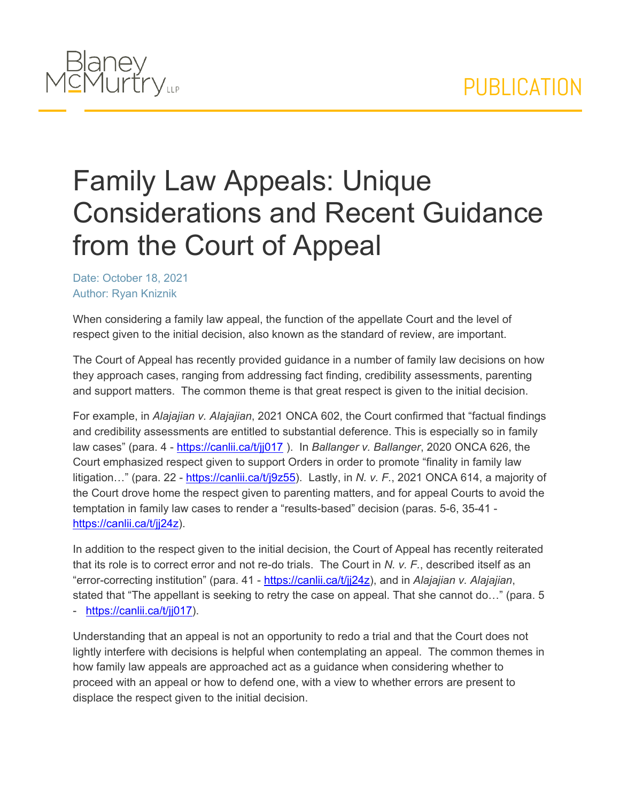

## Family Law Appeals: Unique Considerations and Recent Guidance from the Court of Appeal

Date: October 18, 2021 Author: Ryan Kniznik

When considering a family law appeal, the function of the appellate Court and the level of respect given to the initial decision, also known as the standard of review, are important.

The Court of Appeal has recently provided guidance in a number of family law decisions on how they approach cases, ranging from addressing fact finding, credibility assessments, parenting and support matters. The common theme is that great respect is given to the initial decision.

For example, in *Alajajian v. Alajajian*, 2021 ONCA 602, the Court confirmed that "factual findings and credibility assessments are entitled to substantial deference. This is especially so in family law cases" (para. 4 - <https://canlii.ca/t/jj017> ). In *Ballanger v. Ballanger*, 2020 ONCA 626, the Court emphasized respect given to support Orders in order to promote "finality in family law litigation…" (para. 22 - [https://canlii.ca/t/j9z55\)](https://canlii.ca/t/j9z55). Lastly, in *N. v. F.*, 2021 ONCA 614, a majority of the Court drove home the respect given to parenting matters, and for appeal Courts to avoid the temptation in family law cases to render a "results-based" decision (paras. 5-6, 35-41 [https://canlii.ca/t/jj24z\)](https://canlii.ca/t/jj24z).

In addition to the respect given to the initial decision, the Court of Appeal has recently reiterated that its role is to correct error and not re-do trials. The Court in *N. v. F.*, described itself as an "error-correcting institution" (para. 41 - <https://canlii.ca/t/jj24z>), and in *Alajajian v. Alajajian*, stated that "The appellant is seeking to retry the case on appeal. That she cannot do…" (para. 5 - [https://canlii.ca/t/jj017\)](https://canlii.ca/t/jj017).

Understanding that an appeal is not an opportunity to redo a trial and that the Court does not lightly interfere with decisions is helpful when contemplating an appeal. The common themes in how family law appeals are approached act as a guidance when considering whether to proceed with an appeal or how to defend one, with a view to whether errors are present to displace the respect given to the initial decision.